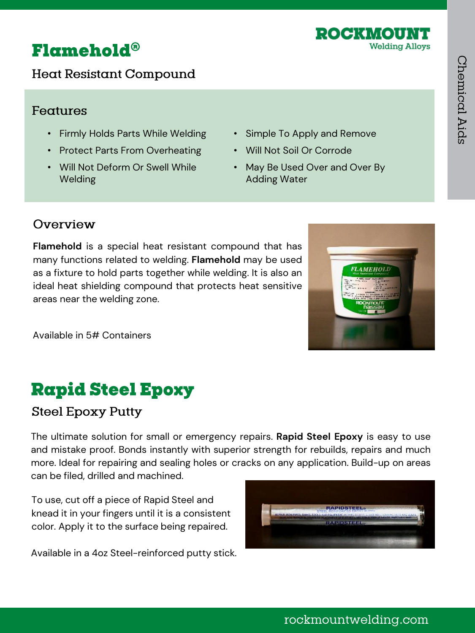### Flamehold®

Heat Resistant Compound

#### Features

- Firmly Holds Parts While Welding
- Protect Parts From Overheating
- Will Not Deform Or Swell While Welding
- Simple To Apply and Remove
- Will Not Soil Or Corrode
- May Be Used Over and Over By Adding Water

#### Overview

**Flamehold** is a special heat resistant compound that has many functions related to welding. **Flamehold** may be used as a fixture to hold parts together while welding. It is also an ideal heat shielding compound that protects heat sensitive areas near the welding zone.

#### Available in 5# Containers

### **Rapid Steel Epoxy**

#### **Steel Epoxy Putty**

The ultimate solution for small or emergency repairs. **Rapid Steel Epoxy** is easy to use and mistake proof. Bonds instantly with superior strength for rebuilds, repairs and much more. Ideal for repairing and sealing holes or cracks on any application. Build-up on areas can be filed, drilled and machined.

To use, cut off a piece of Rapid Steel and knead it in your fingers until it is a consistent color. Apply it to the surface being repaired.

Available in a 4oz Steel-reinforced putty stick.





# rockmountwelding.com